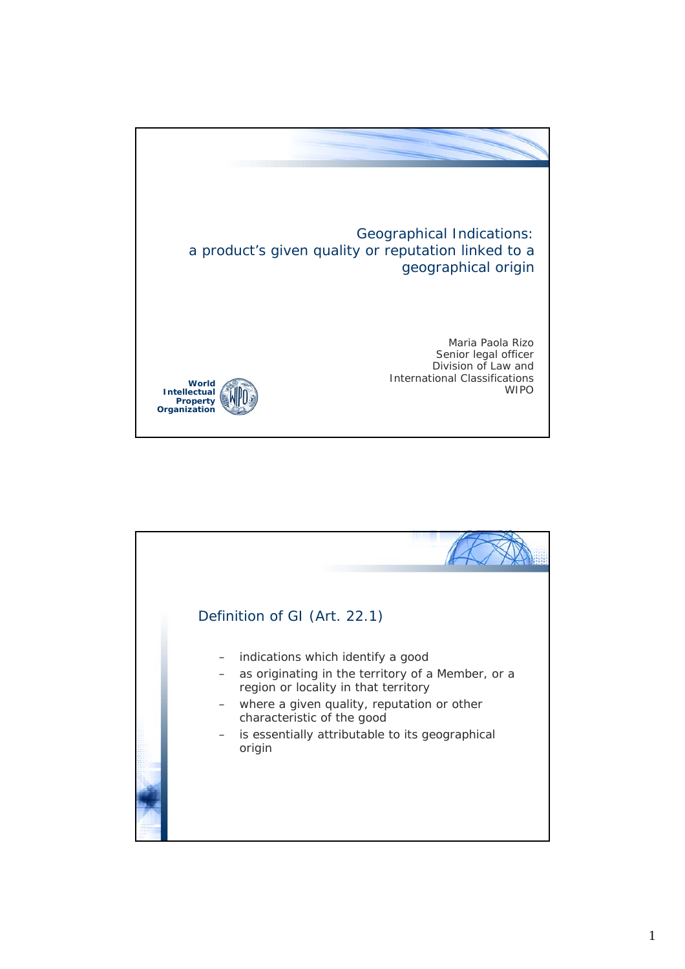

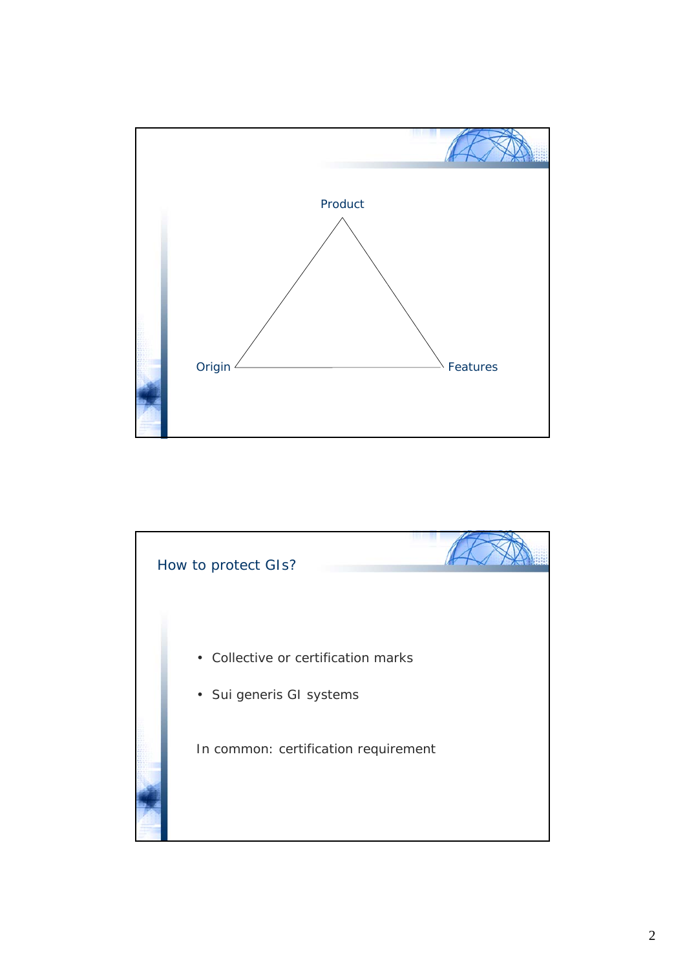

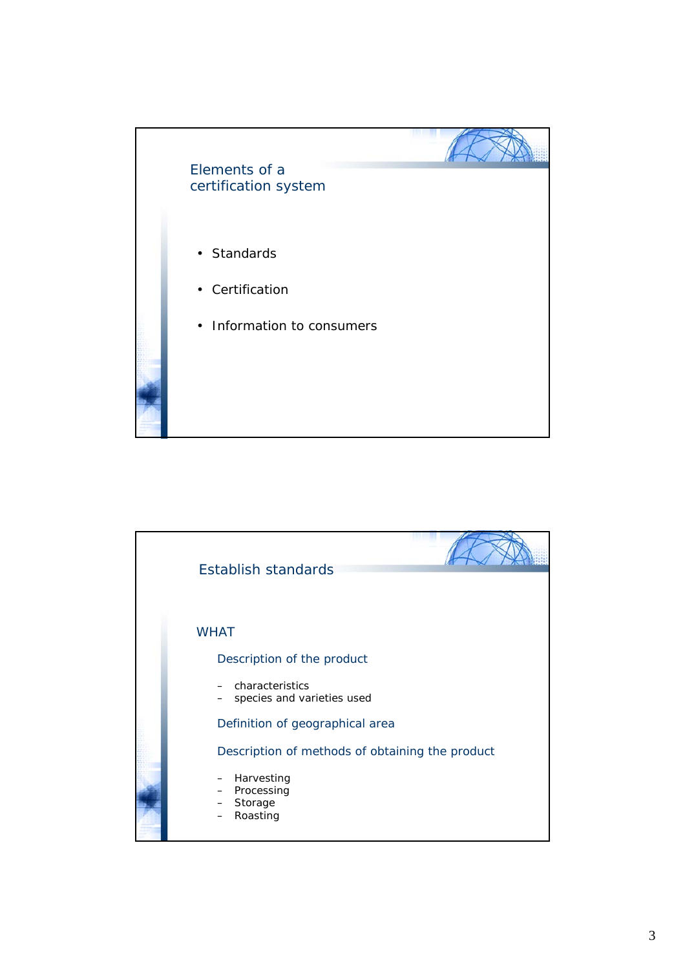

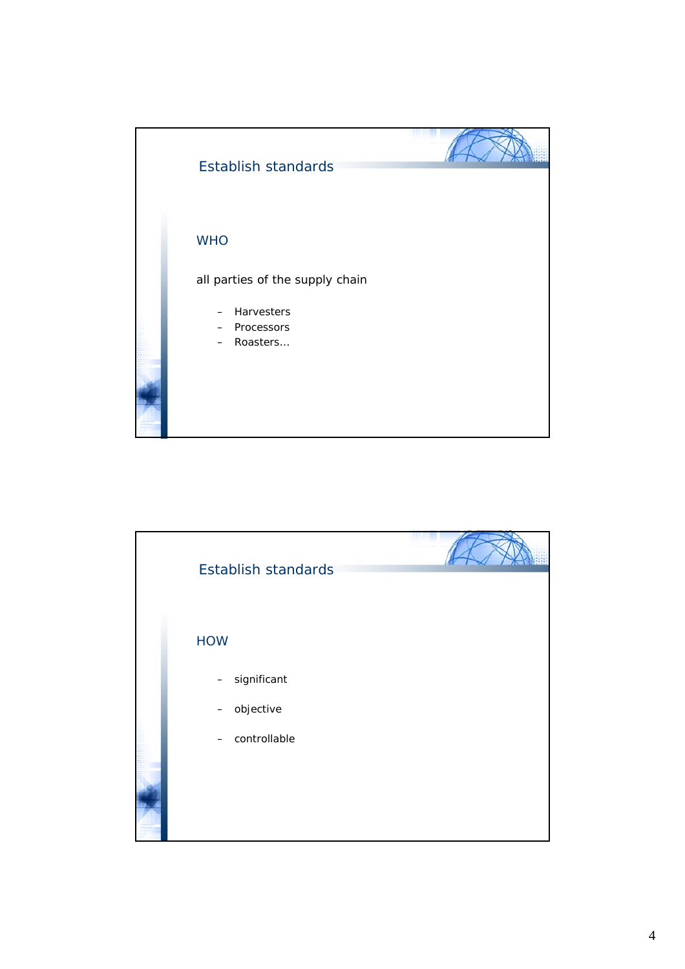

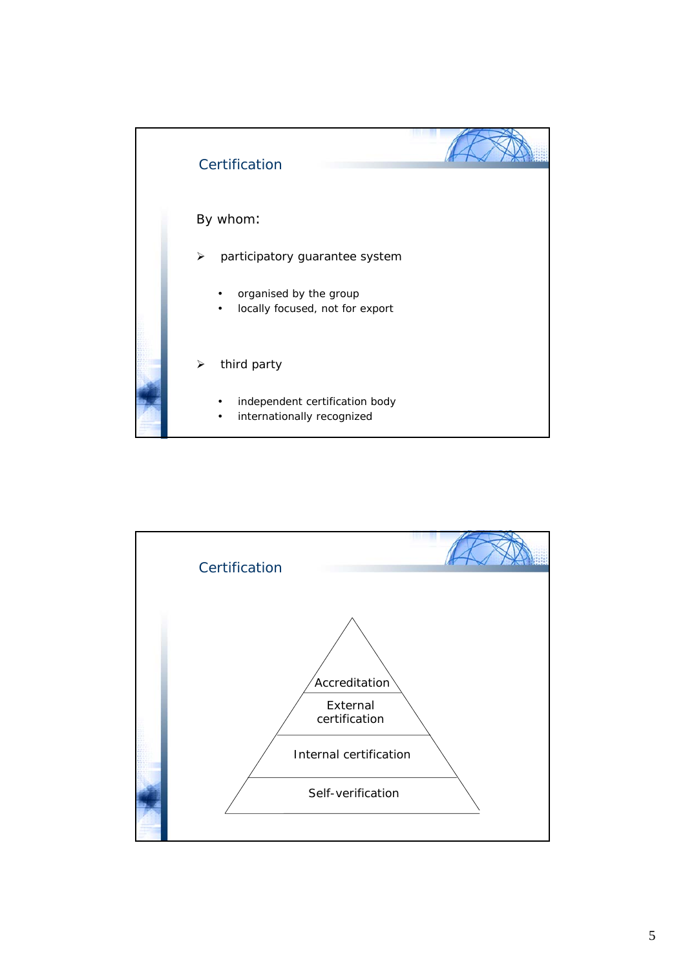

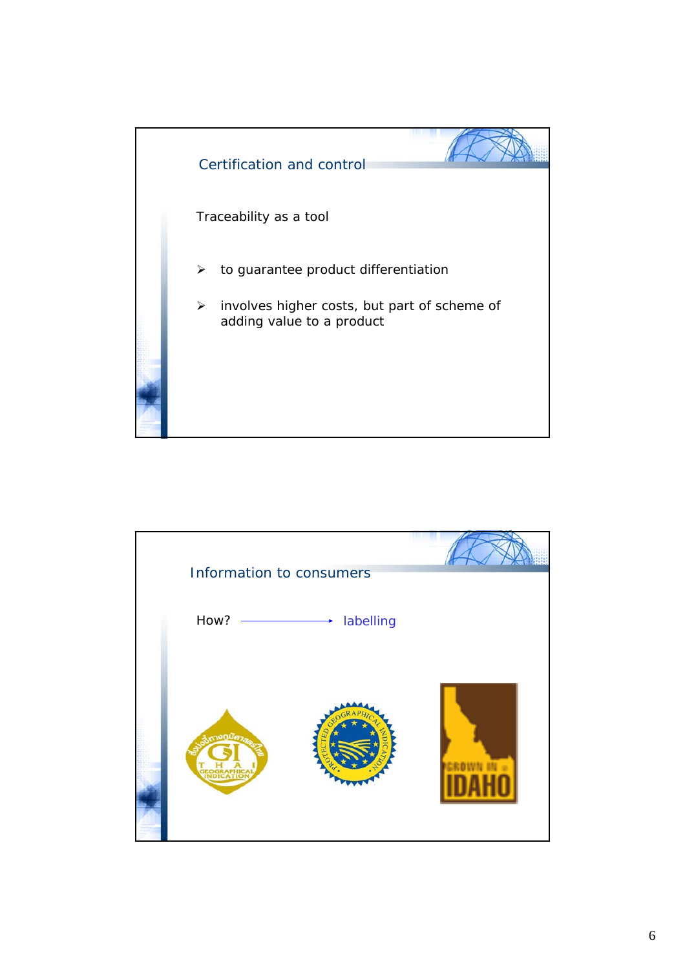